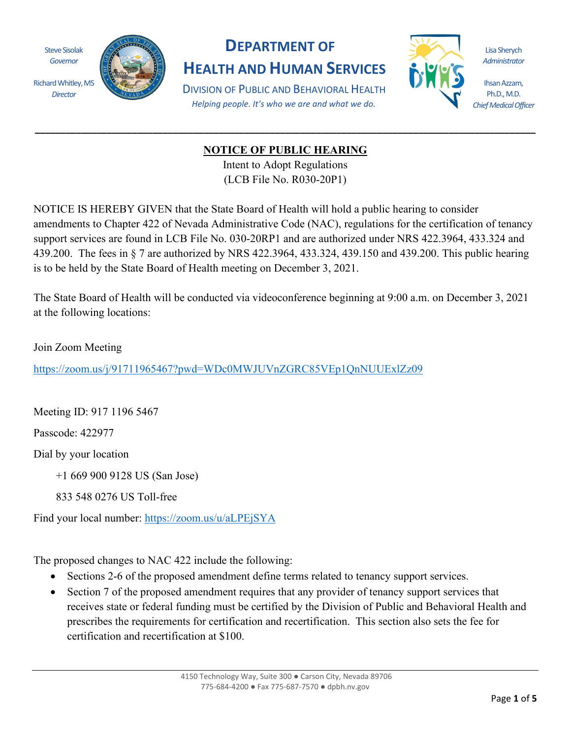Steve Sisolak *Governor*

*Director*



## **DEPARTMENT OF**

**HEALTH AND HUMAN SERVICES** DIVISION OF PUBLIC AND BEHAVIORAL HEALTH *Helping people. It's who we are and what we do.*



Lisa Sherych *Administrator*

Ihsan Azzam, Ph.D., M.D. *Chief Medical Officer*

## **NOTICE OF PUBLIC HEARING**

**\_\_\_\_\_\_\_\_\_\_\_\_\_\_\_\_\_\_\_\_\_\_\_\_\_\_\_\_\_\_\_\_\_\_\_\_\_\_\_\_\_\_\_\_\_\_\_\_\_\_\_\_\_\_\_\_\_\_\_\_\_\_\_\_\_\_\_\_\_\_\_\_\_\_\_\_\_\_\_\_\_\_\_\_\_\_\_\_\_\_\_\_\_\_\_\_\_\_**

Intent to Adopt Regulations (LCB File No. R030-20P1)

NOTICE IS HEREBY GIVEN that the State Board of Health will hold a public hearing to consider amendments to Chapter 422 of Nevada Administrative Code (NAC), regulations for the certification of tenancy support services are found in LCB File No. 030-20RP1 and are authorized under NRS 422.3964, 433.324 and 439.200. The fees in § 7 are authorized by NRS 422.3964, 433.324, 439.150 and 439.200. This public hearing is to be held by the State Board of Health meeting on December 3, 2021.

The State Board of Health will be conducted via videoconference beginning at 9:00 a.m. on December 3, 2021 at the following locations:

Join Zoom Meeting

<https://zoom.us/j/91711965467?pwd=WDc0MWJUVnZGRC85VEp1QnNUUExlZz09>

Meeting ID: 917 1196 5467

Passcode: 422977

Dial by your location

+1 669 900 9128 US (San Jose)

833 548 0276 US Toll-free

Find your local number:<https://zoom.us/u/aLPEjSYA>

The proposed changes to NAC 422 include the following:

- Sections 2-6 of the proposed amendment define terms related to tenancy support services.
- Section 7 of the proposed amendment requires that any provider of tenancy support services that receives state or federal funding must be certified by the Division of Public and Behavioral Health and prescribes the requirements for certification and recertification. This section also sets the fee for certification and recertification at \$100.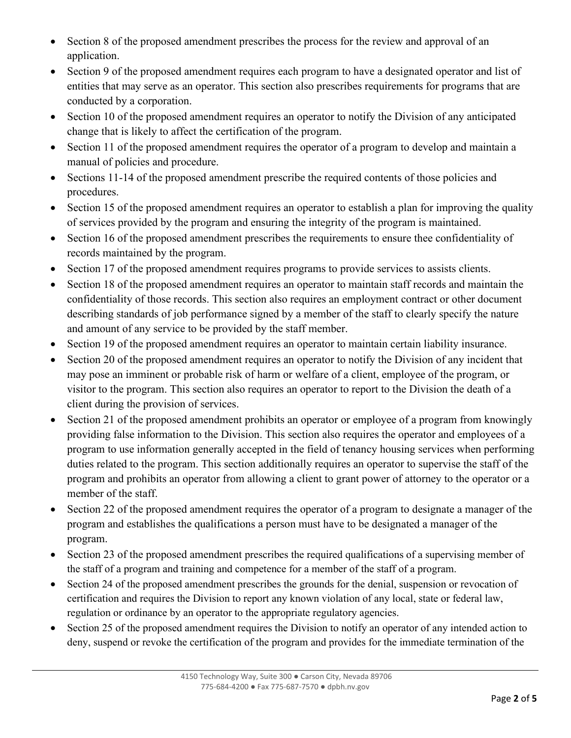- Section 8 of the proposed amendment prescribes the process for the review and approval of an application.
- Section 9 of the proposed amendment requires each program to have a designated operator and list of entities that may serve as an operator. This section also prescribes requirements for programs that are conducted by a corporation.
- Section 10 of the proposed amendment requires an operator to notify the Division of any anticipated change that is likely to affect the certification of the program.
- Section 11 of the proposed amendment requires the operator of a program to develop and maintain a manual of policies and procedure.
- Sections 11-14 of the proposed amendment prescribe the required contents of those policies and procedures.
- Section 15 of the proposed amendment requires an operator to establish a plan for improving the quality of services provided by the program and ensuring the integrity of the program is maintained.
- Section 16 of the proposed amendment prescribes the requirements to ensure thee confidentiality of records maintained by the program.
- Section 17 of the proposed amendment requires programs to provide services to assists clients.
- Section 18 of the proposed amendment requires an operator to maintain staff records and maintain the confidentiality of those records. This section also requires an employment contract or other document describing standards of job performance signed by a member of the staff to clearly specify the nature and amount of any service to be provided by the staff member.
- Section 19 of the proposed amendment requires an operator to maintain certain liability insurance.
- Section 20 of the proposed amendment requires an operator to notify the Division of any incident that may pose an imminent or probable risk of harm or welfare of a client, employee of the program, or visitor to the program. This section also requires an operator to report to the Division the death of a client during the provision of services.
- Section 21 of the proposed amendment prohibits an operator or employee of a program from knowingly providing false information to the Division. This section also requires the operator and employees of a program to use information generally accepted in the field of tenancy housing services when performing duties related to the program. This section additionally requires an operator to supervise the staff of the program and prohibits an operator from allowing a client to grant power of attorney to the operator or a member of the staff.
- Section 22 of the proposed amendment requires the operator of a program to designate a manager of the program and establishes the qualifications a person must have to be designated a manager of the program.
- Section 23 of the proposed amendment prescribes the required qualifications of a supervising member of the staff of a program and training and competence for a member of the staff of a program.
- Section 24 of the proposed amendment prescribes the grounds for the denial, suspension or revocation of certification and requires the Division to report any known violation of any local, state or federal law, regulation or ordinance by an operator to the appropriate regulatory agencies.
- Section 25 of the proposed amendment requires the Division to notify an operator of any intended action to deny, suspend or revoke the certification of the program and provides for the immediate termination of the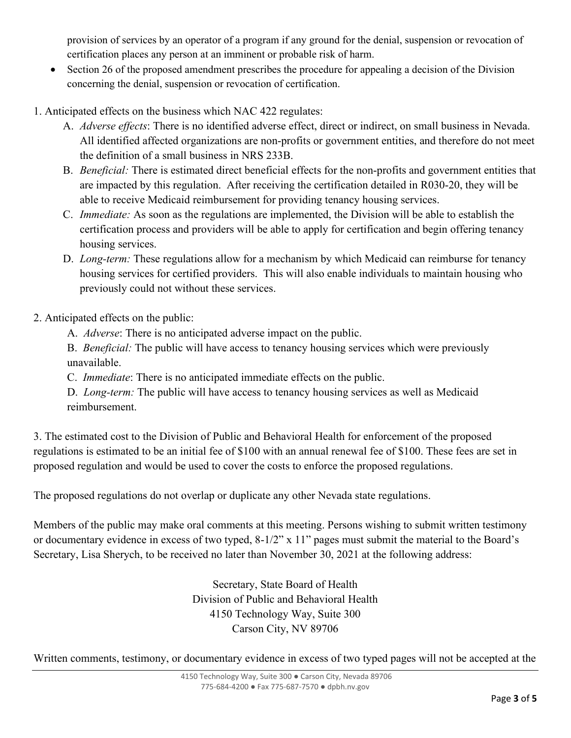provision of services by an operator of a program if any ground for the denial, suspension or revocation of certification places any person at an imminent or probable risk of harm.

- Section 26 of the proposed amendment prescribes the procedure for appealing a decision of the Division concerning the denial, suspension or revocation of certification.
- 1. Anticipated effects on the business which NAC 422 regulates:
	- A. *Adverse effects*: There is no identified adverse effect, direct or indirect, on small business in Nevada. All identified affected organizations are non-profits or government entities, and therefore do not meet the definition of a small business in NRS 233B.
	- B. *Beneficial:* There is estimated direct beneficial effects for the non-profits and government entities that are impacted by this regulation. After receiving the certification detailed in R030-20, they will be able to receive Medicaid reimbursement for providing tenancy housing services.
	- C. *Immediate:* As soon as the regulations are implemented, the Division will be able to establish the certification process and providers will be able to apply for certification and begin offering tenancy housing services.
	- D. *Long-term:* These regulations allow for a mechanism by which Medicaid can reimburse for tenancy housing services for certified providers. This will also enable individuals to maintain housing who previously could not without these services.

2. Anticipated effects on the public:

A. *Adverse*: There is no anticipated adverse impact on the public.

B. *Beneficial:* The public will have access to tenancy housing services which were previously unavailable.

C. *Immediate*: There is no anticipated immediate effects on the public.

D. *Long-term:* The public will have access to tenancy housing services as well as Medicaid reimbursement.

3. The estimated cost to the Division of Public and Behavioral Health for enforcement of the proposed regulations is estimated to be an initial fee of \$100 with an annual renewal fee of \$100. These fees are set in proposed regulation and would be used to cover the costs to enforce the proposed regulations.

The proposed regulations do not overlap or duplicate any other Nevada state regulations.

Members of the public may make oral comments at this meeting. Persons wishing to submit written testimony or documentary evidence in excess of two typed, 8-1/2" x 11" pages must submit the material to the Board's Secretary, Lisa Sherych, to be received no later than November 30, 2021 at the following address:

> Secretary, State Board of Health Division of Public and Behavioral Health 4150 Technology Way, Suite 300 Carson City, NV 89706

Written comments, testimony, or documentary evidence in excess of two typed pages will not be accepted at the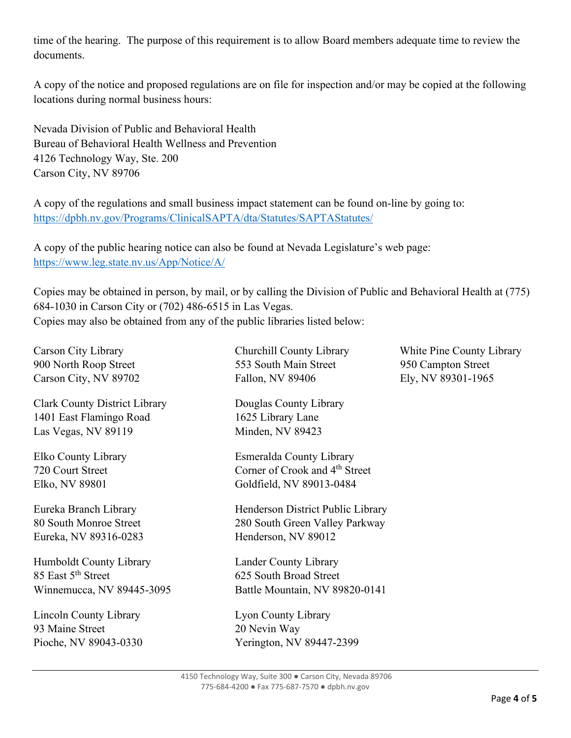time of the hearing. The purpose of this requirement is to allow Board members adequate time to review the documents.

A copy of the notice and proposed regulations are on file for inspection and/or may be copied at the following locations during normal business hours:

Nevada Division of Public and Behavioral Health Bureau of Behavioral Health Wellness and Prevention 4126 Technology Way, Ste. 200 Carson City, NV 89706

A copy of the regulations and small business impact statement can be found on-line by going to: <https://dpbh.nv.gov/Programs/ClinicalSAPTA/dta/Statutes/SAPTAStatutes/>

A copy of the public hearing notice can also be found at Nevada Legislature's web page: <https://www.leg.state.nv.us/App/Notice/A/>

Copies may be obtained in person, by mail, or by calling the Division of Public and Behavioral Health at (775) 684-1030 in Carson City or (702) 486-6515 in Las Vegas. Copies may also be obtained from any of the public libraries listed below:

| Carson City Library                  | Churchill County Library                   | White Pine County Library |
|--------------------------------------|--------------------------------------------|---------------------------|
| 900 North Roop Street                | 553 South Main Street                      | 950 Campton Street        |
| Carson City, NV 89702                | Fallon, NV 89406                           | Ely, NV 89301-1965        |
| <b>Clark County District Library</b> | Douglas County Library                     |                           |
| 1401 East Flamingo Road              | 1625 Library Lane                          |                           |
| Las Vegas, NV 89119                  | Minden, NV 89423                           |                           |
| Elko County Library                  | Esmeralda County Library                   |                           |
| 720 Court Street                     | Corner of Crook and 4 <sup>th</sup> Street |                           |
| Elko, NV 89801                       | Goldfield, NV 89013-0484                   |                           |
| Eureka Branch Library                | Henderson District Public Library          |                           |
| 80 South Monroe Street               | 280 South Green Valley Parkway             |                           |
| Eureka, NV 89316-0283                | Henderson, NV 89012                        |                           |
| Humboldt County Library              | Lander County Library                      |                           |
| 85 East 5 <sup>th</sup> Street       | 625 South Broad Street                     |                           |
| Winnemucca, NV 89445-3095            | Battle Mountain, NV 89820-0141             |                           |
| Lincoln County Library               | Lyon County Library                        |                           |
| 93 Maine Street                      | 20 Nevin Way                               |                           |
| Pioche, NV 89043-0330                | Yerington, NV 89447-2399                   |                           |